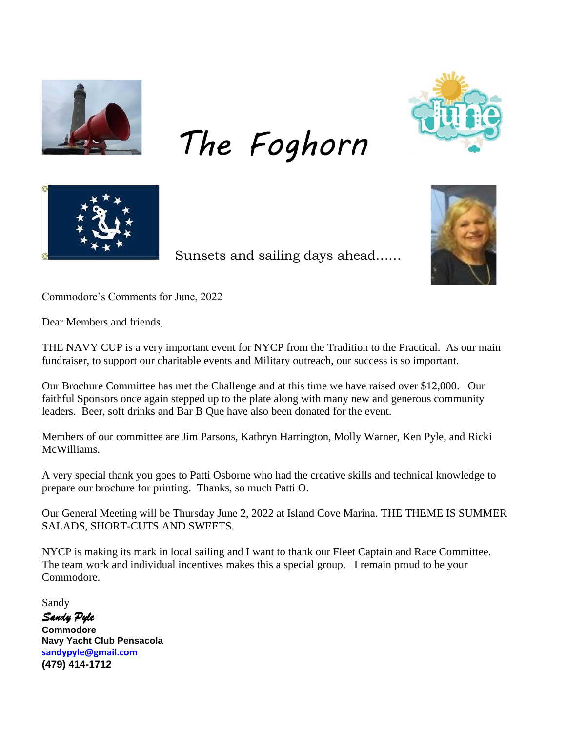

*The Foghorn*





Sunsets and sailing days ahead……



Commodore's Comments for June, 2022

Dear Members and friends,

THE NAVY CUP is a very important event for NYCP from the Tradition to the Practical. As our main fundraiser, to support our charitable events and Military outreach, our success is so important.

Our Brochure Committee has met the Challenge and at this time we have raised over \$12,000. Our faithful Sponsors once again stepped up to the plate along with many new and generous community leaders. Beer, soft drinks and Bar B Que have also been donated for the event.

Members of our committee are Jim Parsons, Kathryn Harrington, Molly Warner, Ken Pyle, and Ricki McWilliams.

A very special thank you goes to Patti Osborne who had the creative skills and technical knowledge to prepare our brochure for printing. Thanks, so much Patti O.

Our General Meeting will be Thursday June 2, 2022 at Island Cove Marina. THE THEME IS SUMMER SALADS, SHORT-CUTS AND SWEETS.

NYCP is making its mark in local sailing and I want to thank our Fleet Captain and Race Committee. The team work and individual incentives makes this a special group. I remain proud to be your Commodore.

Sandy

*Sandy Pyle* 

**Commodore Navy Yacht Club Pensacola [sandypyle@gmail.com](mailto:sandypyle@gmail.com)  (479) 414-1712**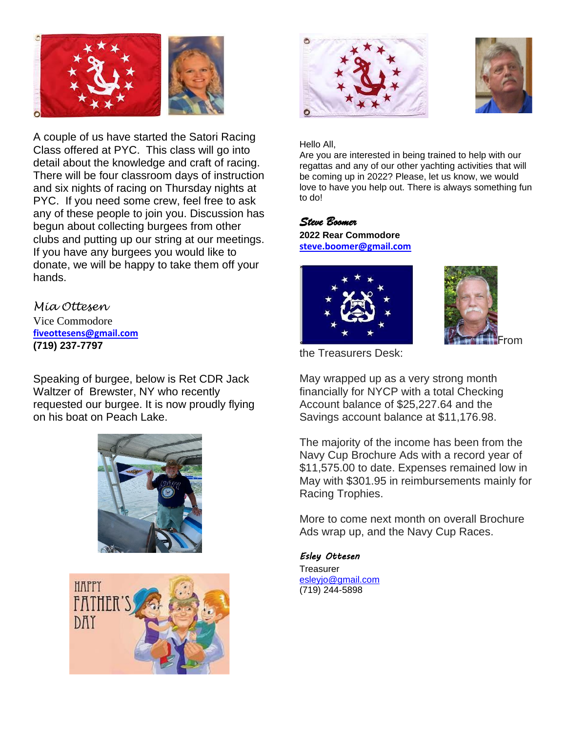

A couple of us have started the Satori Racing Class offered at PYC. This class will go into detail about the knowledge and craft of racing. There will be four classroom days of instruction and six nights of racing on Thursday nights at PYC. If you need some crew, feel free to ask any of these people to join you. Discussion has begun about collecting burgees from other clubs and putting up our string at our meetings. If you have any burgees you would like to donate, we will be happy to take them off your hands.

*Mia Ottesen* Vice Commodore **[fiveottesens@gmail.com](mailto:fiveottesens@gmail.com) (719) 237-7797**

Speaking of burgee, below is Ret CDR Jack Waltzer of Brewster, NY who recently requested our burgee. It is now proudly flying on his boat on Peach Lake.









Hello All,

Are you are interested in being trained to help with our regattas and any of our other yachting activities that will be coming up in 2022? Please, let us know, we would love to have you help out. There is always something fun to do!

### *Steve Boomer*

**2022 Rear Commodore [steve.boomer@gmail.com](mailto:steve.boomer@gmail.com)**





the Treasurers Desk:

May wrapped up as a very strong month financially for NYCP with a total Checking Account balance of \$25,227.64 and the Savings account balance at \$11,176.98.

The majority of the income has been from the Navy Cup Brochure Ads with a record year of \$11,575.00 to date. Expenses remained low in May with \$301.95 in reimbursements mainly for Racing Trophies.

More to come next month on overall Brochure Ads wrap up, and the Navy Cup Races.

### *Esley Ottesen*

**Treasurer** [esleyjo@gmail.com](mailto:esleyjo@gmail.com) (719) 244-5898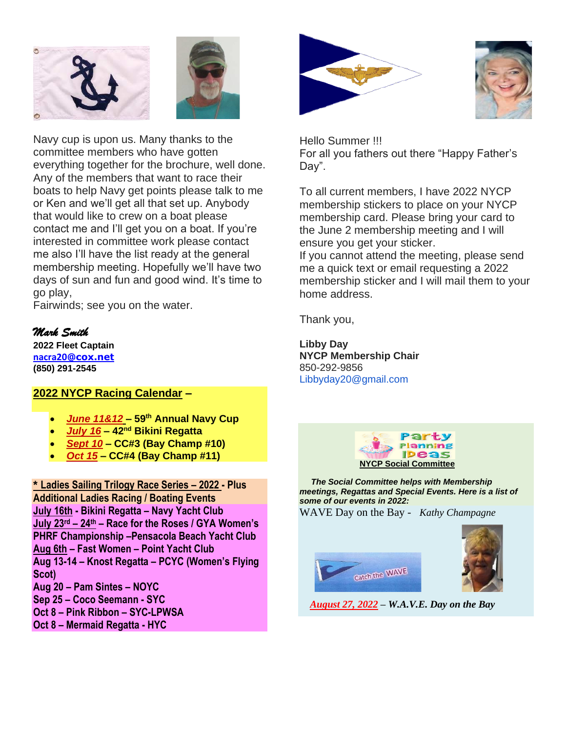



Navy cup is upon us. Many thanks to the committee members who have gotten everything together for the brochure, well done. Any of the members that want to race their boats to help Navy get points please talk to me or Ken and we'll get all that set up. Anybody that would like to crew on a boat please contact me and I'll get you on a boat. If you're interested in committee work please contact me also I'll have the list ready at the general membership meeting. Hopefully we'll have two days of sun and fun and good wind. It's time to go play,

Fairwinds; see you on the water.

## *Mark Smith*

**2022 Fleet Captain [nacra20](mailto:nacra20onedesign@gmail.com)[@cox.net](mailto:nacra20onedesign@gmail.com) (850) 291-2545**

## **2022 NYCP Racing Calendar –**

- *June 11&12* **– 59th Annual Navy Cup**
- *July 16* **– 42nd Bikini Regatta**
- *Sept 10* **– CC#3 (Bay Champ #10)**
- *Oct 15* **– CC#4 (Bay Champ #11)**

**\* Ladies Sailing Trilogy Race Series – 2022 - Plus Additional Ladies Racing / Boating Events July 16th - Bikini Regatta – Navy Yacht Club July 23rd – 24th – Race for the Roses / GYA Women's PHRF Championship –Pensacola Beach Yacht Club Aug 6th – Fast Women – Point Yacht Club Aug 13-14 – Knost Regatta – PCYC (Women's Flying Scot) Aug 20 – Pam Sintes – NOYC Sep 25 – Coco Seemann - SYC Oct 8 – Pink Ribbon – SYC-LPWSA**

**Oct 8 – Mermaid Regatta - HYC** 





Hello Summer !!! For all you fathers out there "Happy Father's Day".

To all current members, I have 2022 NYCP membership stickers to place on your NYCP membership card. Please bring your card to the June 2 membership meeting and I will ensure you get your sticker.

If you cannot attend the meeting, please send me a quick text or email requesting a 2022 membership sticker and I will mail them to your home address.

Thank you,

**Libby Day NYCP Membership Chair** 850-292-9856 Libbyday20@gmail.com



 *The Social Committee helps with Membership meetings, Regattas and Special Events. Here is a list of some of our events in 2022:*

WAVE Day on the Bay - *Kathy Champagne*





 *August 27, 2022 – W.A.V.E. Day on the Bay*